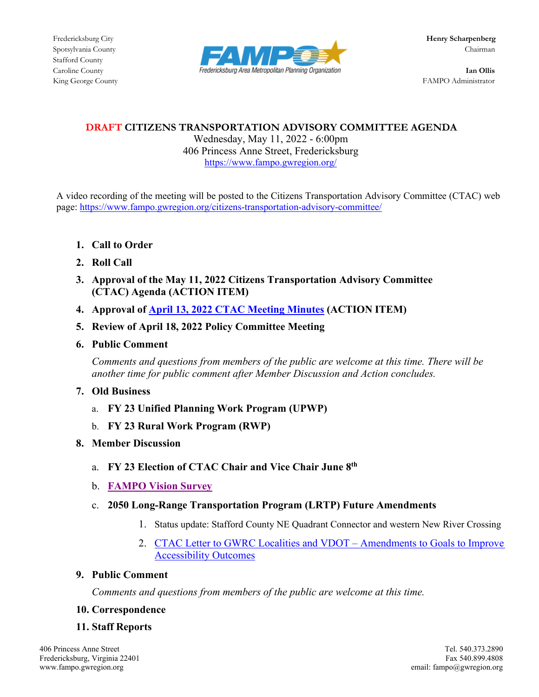Stafford County



King George County **FAMPO** Administrator

## **DRAFT CITIZENS TRANSPORTATION ADVISORY COMMITTEE AGENDA**

Wednesday, May 11, 2022 - 6:00pm 406 Princess Anne Street, Fredericksburg <https://www.fampo.gwregion.org/>

A video recording of the meeting will be posted to the Citizens Transportation Advisory Committee (CTAC) web page[: https://www.fampo.gwregion.org/citizens-transportation-advisory-committee/](https://www.fampo.gwregion.org/citizens-transportation-advisory-committee/) 

- **1. Call to Order**
- **2. Roll Call**
- **3. Approval of the May 11, 2022 Citizens Transportation Advisory Committee (CTAC) Agenda (ACTION ITEM)**
- **4. Approval of [April 13, 2022 CTAC Meeting Minutes](https://www.fampo.gwregion.org/wp-content/uploads/2022/04/04.13.2022_CTAC-Minutes_Draft.pdf) (ACTION ITEM)**
- **5. Review of April 18, 2022 Policy Committee Meeting**
- **6. Public Comment**

*Comments and questions from members of the public are welcome at this time. There will be another time for public comment after Member Discussion and Action concludes.* 

- **7. Old Business**
	- a. **FY 23 Unified Planning Work Program (UPWP)**
	- b. **FY 23 Rural Work Program (RWP)**
- **8. Member Discussion**
	- a. **FY 23 Election of CTAC Chair and Vice Chair June 8th**
	- b. **FAMPO Vision Survey**
	- c. **2050 Long-Range Transportation Program (LRTP) Future Amendments**
		- 1. Status update: Stafford County NE Quadrant Connector and western New River Crossing
		- 2. CTAC Letter to GWRC Localities and VDOT Amendments to Goals to Improve [Accessibility Outcomes](https://www.fampo.gwregion.org/wp-content/uploads/2022/04/CTAC.LRTP_.AccessibilityLTRwAttmts422.pdf)

## **9. Public Comment**

*Comments and questions from members of the public are welcome at this time.*

**10. Correspondence**

# **11. Staff Reports**

Fredericksburg, Virginia 22401<br>www.fampo.gwregion.org